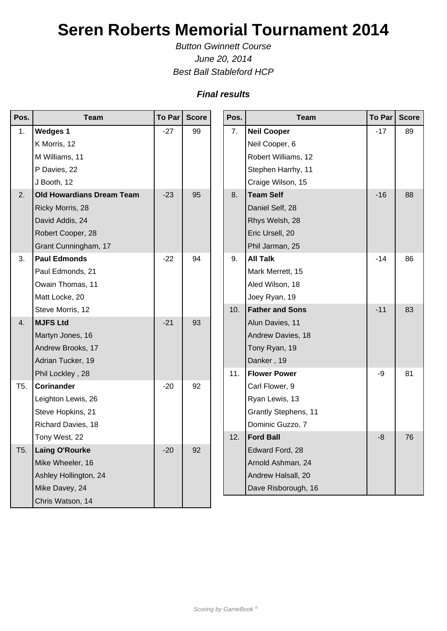## **Seren Roberts Memorial Tournament 2014**

Button Gwinnett Course June 20, 2014 Best Ball Stableford HCP

## **Final results**

| Pos.            | <b>Team</b>                      | To Par | <b>Score</b> |  | Pos. | <b>Team</b>                 | <b>To Par</b> | <b>Score</b> |
|-----------------|----------------------------------|--------|--------------|--|------|-----------------------------|---------------|--------------|
| 1.              | <b>Wedges 1</b>                  | $-27$  | 99           |  | 7.   | <b>Neil Cooper</b>          | $-17$         | 89           |
|                 | K Morris, 12                     |        |              |  |      | Neil Cooper, 6              |               |              |
|                 | M Williams, 11                   |        |              |  |      | Robert Williams, 12         |               |              |
|                 | P Davies, 22                     |        |              |  |      | Stephen Harrhy, 11          |               |              |
|                 | J Booth, 12                      |        |              |  |      | Craige Wilson, 15           |               |              |
| 2.              | <b>Old Howardians Dream Team</b> | $-23$  | 95           |  | 8.   | <b>Team Self</b>            | $-16$         | 88           |
|                 | Ricky Morris, 28                 |        |              |  |      | Daniel Self, 28             |               |              |
|                 | David Addis, 24                  |        |              |  |      | Rhys Welsh, 28              |               |              |
|                 | Robert Cooper, 28                |        |              |  |      | Eric Ursell, 20             |               |              |
|                 | Grant Cunningham, 17             |        |              |  |      | Phil Jarman, 25             |               |              |
| 3.              | <b>Paul Edmonds</b>              | $-22$  | 94           |  | 9.   | <b>All Talk</b>             | $-14$         | 86           |
|                 | Paul Edmonds, 21                 |        |              |  |      | Mark Merrett, 15            |               |              |
|                 | Owain Thomas, 11                 |        |              |  |      | Aled Wilson, 18             |               |              |
|                 | Matt Locke, 20                   |        |              |  |      | Joey Ryan, 19               |               |              |
|                 | Steve Morris, 12                 |        |              |  | 10.  | <b>Father and Sons</b>      | $-11$         | 83           |
| 4.              | <b>MJFS Ltd</b>                  | $-21$  | 93           |  |      | Alun Davies, 11             |               |              |
|                 | Martyn Jones, 16                 |        |              |  |      | Andrew Davies, 18           |               |              |
|                 | Andrew Brooks, 17                |        |              |  |      | Tony Ryan, 19               |               |              |
|                 | Adrian Tucker, 19                |        |              |  | 11.  | Danker, 19                  |               |              |
|                 | Phil Lockley, 28                 |        |              |  |      | <b>Flower Power</b>         | -9            | 81           |
| T <sub>5.</sub> | <b>Corinander</b>                | $-20$  | 92           |  |      | Carl Flower, 9              |               |              |
|                 | Leighton Lewis, 26               |        |              |  |      | Ryan Lewis, 13              |               |              |
|                 | Steve Hopkins, 21                |        |              |  |      | <b>Grantly Stephens, 11</b> |               |              |
|                 | Richard Davies, 18               |        |              |  |      | Dominic Guzzo, 7            |               |              |
|                 | Tony West, 22                    |        |              |  | 12.  | <b>Ford Ball</b>            | $-8$          | 76           |
| T5.             | <b>Laing O'Rourke</b>            | $-20$  | 92           |  |      | Edward Ford, 28             |               |              |
|                 | Mike Wheeler, 16                 |        |              |  |      | Arnold Ashman, 24           |               |              |
|                 | Ashley Hollington, 24            |        |              |  |      | Andrew Halsall, 20          |               |              |
|                 | Mike Davey, 24                   |        |              |  |      | Dave Risborough, 16         |               |              |
|                 | Chris Watson, 14                 |        |              |  |      |                             |               |              |